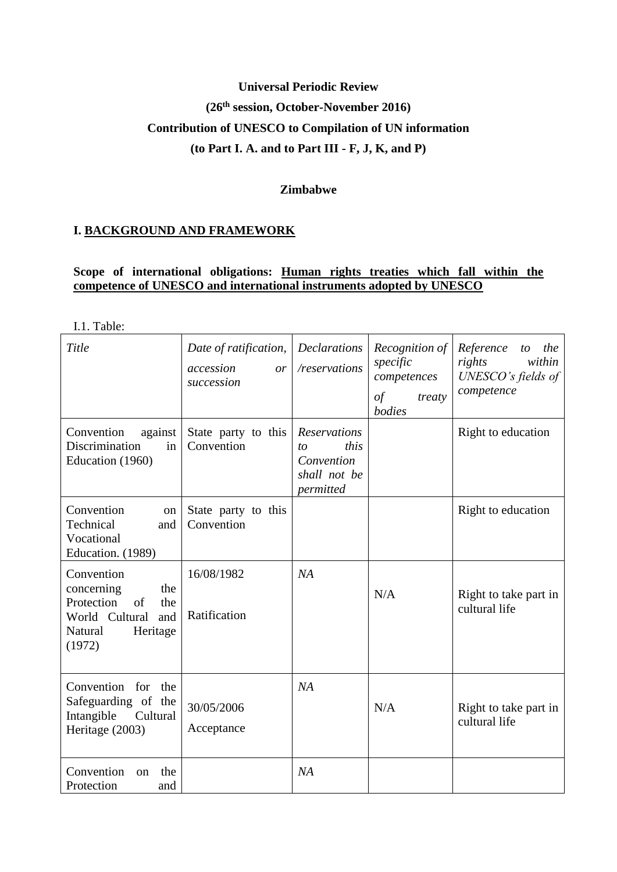# **Universal Periodic Review (26th session, October-November 2016) Contribution of UNESCO to Compilation of UN information (to Part I. A. and to Part III - F, J, K, and P)**

### **Zimbabwe**

### **I. BACKGROUND AND FRAMEWORK**

### **Scope of international obligations: Human rights treaties which fall within the competence of UNESCO and international instruments adopted by UNESCO**

I.1. Table:

| Title                                                                                                                | Date of ratification,<br>accession<br><i>or</i><br>succession | <b>Declarations</b><br>/reservations                                  | Recognition of<br>specific<br>competences<br>$\sigma f$<br>treaty<br>bodies | Reference<br>the<br>to<br>within<br>rights<br>UNESCO's fields of<br>competence |
|----------------------------------------------------------------------------------------------------------------------|---------------------------------------------------------------|-----------------------------------------------------------------------|-----------------------------------------------------------------------------|--------------------------------------------------------------------------------|
| against<br>Convention<br>Discrimination<br>in<br>Education (1960)                                                    | State party to this<br>Convention                             | Reservations<br>this<br>to<br>Convention<br>shall not be<br>permitted |                                                                             | Right to education                                                             |
| Convention<br>on<br>Technical<br>and<br>Vocational<br>Education. (1989)                                              | State party to this<br>Convention                             |                                                                       |                                                                             | Right to education                                                             |
| Convention<br>concerning<br>the<br>Protection<br>of<br>the<br>World Cultural<br>and<br>Natural<br>Heritage<br>(1972) | 16/08/1982<br>Ratification                                    | NA                                                                    | N/A                                                                         | Right to take part in<br>cultural life                                         |
| Convention for the<br>Safeguarding of the<br>Intangible<br>Cultural<br>Heritage (2003)                               | 30/05/2006<br>Acceptance                                      | NA                                                                    | N/A                                                                         | Right to take part in<br>cultural life                                         |
| Convention<br>the<br>on<br>Protection<br>and                                                                         |                                                               | NA                                                                    |                                                                             |                                                                                |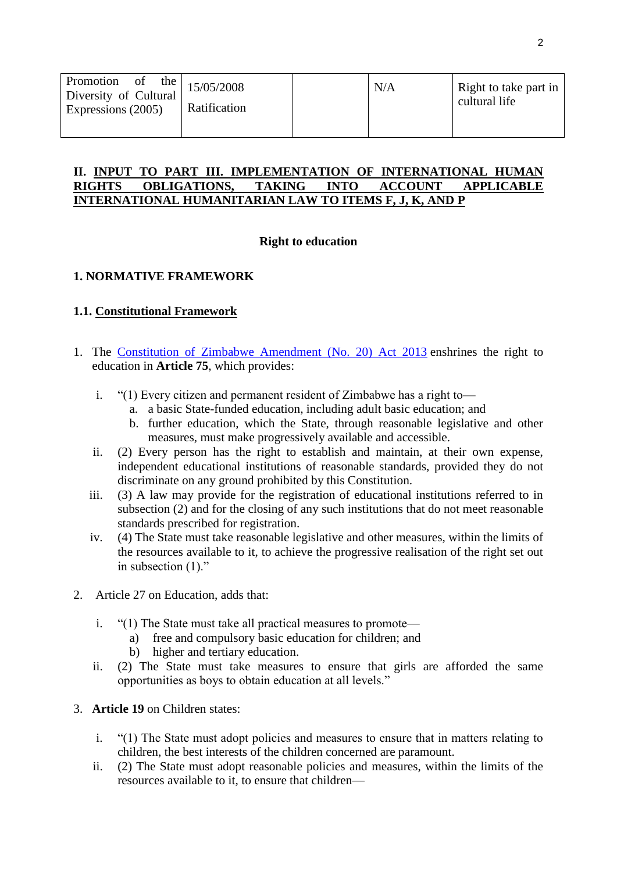| Promotion<br>the<br><sub>of</sub><br>Diversity of Cultural<br>Expressions (2005) | 15/05/2008<br>Ratification | N/A | Right to take part in<br>cultural life |
|----------------------------------------------------------------------------------|----------------------------|-----|----------------------------------------|
|                                                                                  |                            |     |                                        |

#### **II. INPUT TO PART III. IMPLEMENTATION OF INTERNATIONAL HUMAN RIGHTS OBLIGATIONS, TAKING INTO ACCOUNT APPLICABLE INTERNATIONAL HUMANITARIAN LAW TO ITEMS F, J, K, AND P**

### **Right to education**

# **1. NORMATIVE FRAMEWORK**

### **1.1. Constitutional Framework**

- 1. The [Constitution of Zimbabwe Amendment \(No. 20\) Act 2013](http://www.unesco.org/education/edurights/media/docs/e2c54b5452f08dc98643ff7a6a569e6fd1e87eb3.pdf) enshrines the right to education in **Article 75**, which provides:
	- i. "(1) Every citizen and permanent resident of Zimbabwe has a right to
		- a. a basic State-funded education, including adult basic education; and
		- b. further education, which the State, through reasonable legislative and other measures, must make progressively available and accessible.
	- ii. (2) Every person has the right to establish and maintain, at their own expense, independent educational institutions of reasonable standards, provided they do not discriminate on any ground prohibited by this Constitution.
	- iii. (3) A law may provide for the registration of educational institutions referred to in subsection (2) and for the closing of any such institutions that do not meet reasonable standards prescribed for registration.
	- iv. (4) The State must take reasonable legislative and other measures, within the limits of the resources available to it, to achieve the progressive realisation of the right set out in subsection (1)."
- 2. Article 27 on Education, adds that:
	- i. "(1) The State must take all practical measures to promote
		- a) free and compulsory basic education for children; and
		- b) higher and tertiary education.
	- ii. (2) The State must take measures to ensure that girls are afforded the same opportunities as boys to obtain education at all levels."
- 3. **Article 19** on Children states:
	- i. "(1) The State must adopt policies and measures to ensure that in matters relating to children, the best interests of the children concerned are paramount.
	- ii. (2) The State must adopt reasonable policies and measures, within the limits of the resources available to it, to ensure that children—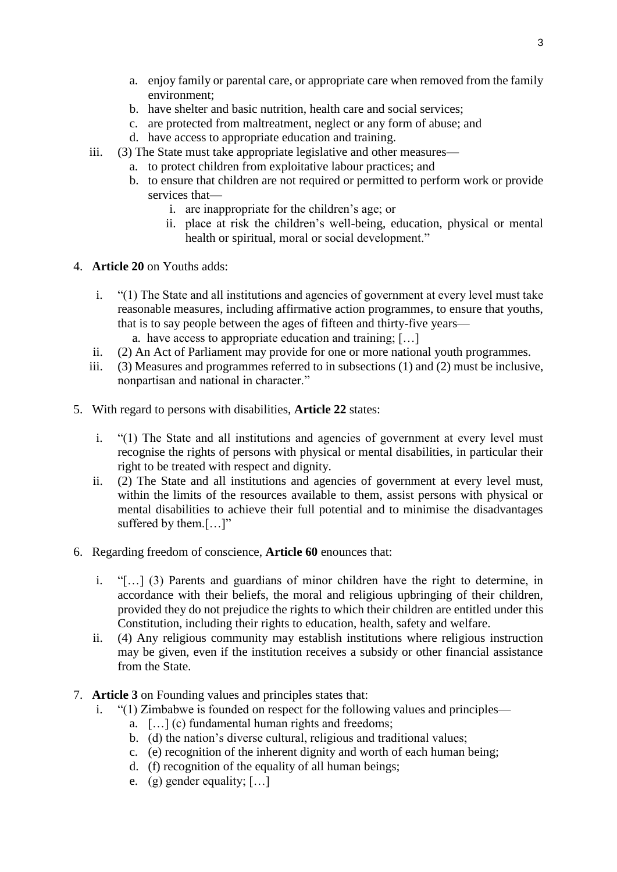- a. enjoy family or parental care, or appropriate care when removed from the family environment;
- b. have shelter and basic nutrition, health care and social services;
- c. are protected from maltreatment, neglect or any form of abuse; and
- d. have access to appropriate education and training.
- iii. (3) The State must take appropriate legislative and other measures
	- a. to protect children from exploitative labour practices; and
	- b. to ensure that children are not required or permitted to perform work or provide services that
		- i. are inappropriate for the children's age; or
		- ii. place at risk the children's well-being, education, physical or mental health or spiritual, moral or social development."
- 4. **Article 20** on Youths adds:
	- i. "(1) The State and all institutions and agencies of government at every level must take reasonable measures, including affirmative action programmes, to ensure that youths, that is to say people between the ages of fifteen and thirty-five years a. have access to appropriate education and training; […]
	- ii. (2) An Act of Parliament may provide for one or more national youth programmes.
	- iii. (3) Measures and programmes referred to in subsections (1) and (2) must be inclusive, nonpartisan and national in character."
- 5. With regard to persons with disabilities, **Article 22** states:
	- i. "(1) The State and all institutions and agencies of government at every level must recognise the rights of persons with physical or mental disabilities, in particular their right to be treated with respect and dignity.
	- ii. (2) The State and all institutions and agencies of government at every level must, within the limits of the resources available to them, assist persons with physical or mental disabilities to achieve their full potential and to minimise the disadvantages suffered by them.[…]"
- 6. Regarding freedom of conscience, **Article 60** enounces that:
	- i. "[…] (3) Parents and guardians of minor children have the right to determine, in accordance with their beliefs, the moral and religious upbringing of their children, provided they do not prejudice the rights to which their children are entitled under this Constitution, including their rights to education, health, safety and welfare.
	- ii. (4) Any religious community may establish institutions where religious instruction may be given, even if the institution receives a subsidy or other financial assistance from the State.
- 7. **Article 3** on Founding values and principles states that:
	- i. "(1) Zimbabwe is founded on respect for the following values and principles
		- a. […] (c) fundamental human rights and freedoms;
		- b. (d) the nation's diverse cultural, religious and traditional values;
		- c. (e) recognition of the inherent dignity and worth of each human being;
		- d. (f) recognition of the equality of all human beings;
		- e. (g) gender equality; […]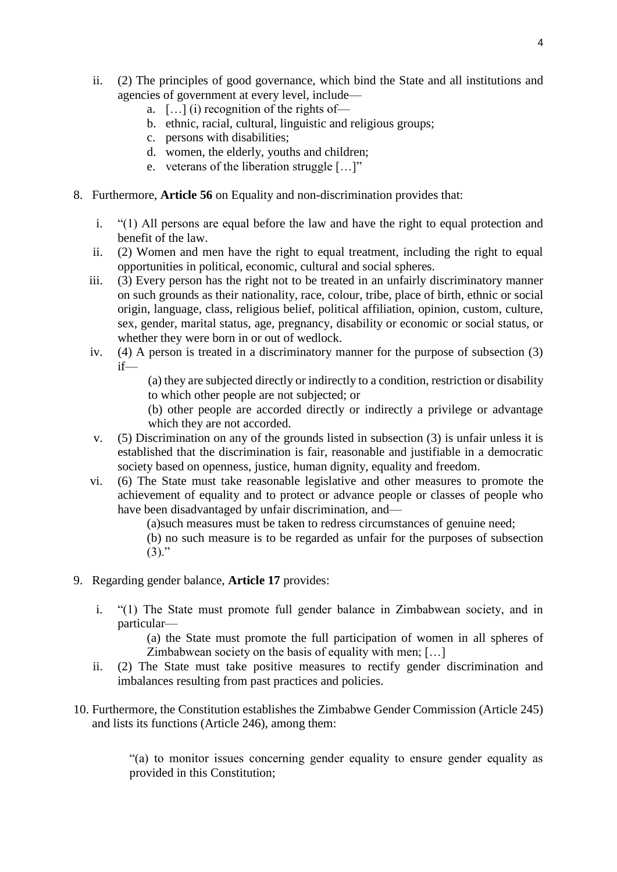- ii. (2) The principles of good governance, which bind the State and all institutions and agencies of government at every level, include
	- a.  $[\dots]$  (i) recognition of the rights of-
	- b. ethnic, racial, cultural, linguistic and religious groups;
	- c. persons with disabilities;
	- d. women, the elderly, youths and children;
	- e. veterans of the liberation struggle […]"
- 8. Furthermore, **Article 56** on Equality and non-discrimination provides that:
	- i. "(1) All persons are equal before the law and have the right to equal protection and benefit of the law.
	- ii. (2) Women and men have the right to equal treatment, including the right to equal opportunities in political, economic, cultural and social spheres.
	- iii. (3) Every person has the right not to be treated in an unfairly discriminatory manner on such grounds as their nationality, race, colour, tribe, place of birth, ethnic or social origin, language, class, religious belief, political affiliation, opinion, custom, culture, sex, gender, marital status, age, pregnancy, disability or economic or social status, or whether they were born in or out of wedlock.
	- iv. (4) A person is treated in a discriminatory manner for the purpose of subsection (3) if—

(a) they are subjected directly or indirectly to a condition, restriction or disability to which other people are not subjected; or

- (b) other people are accorded directly or indirectly a privilege or advantage which they are not accorded.
- v. (5) Discrimination on any of the grounds listed in subsection (3) is unfair unless it is established that the discrimination is fair, reasonable and justifiable in a democratic society based on openness, justice, human dignity, equality and freedom.
- vi. (6) The State must take reasonable legislative and other measures to promote the achievement of equality and to protect or advance people or classes of people who have been disadvantaged by unfair discrimination, and—

(a)such measures must be taken to redress circumstances of genuine need;

(b) no such measure is to be regarded as unfair for the purposes of subsection  $(3).$ "

- 9. Regarding gender balance, **Article 17** provides:
	- i. "(1) The State must promote full gender balance in Zimbabwean society, and in particular—

(a) the State must promote the full participation of women in all spheres of Zimbabwean society on the basis of equality with men; […]

- ii. (2) The State must take positive measures to rectify gender discrimination and imbalances resulting from past practices and policies.
- 10. Furthermore, the Constitution establishes the Zimbabwe Gender Commission (Article 245) and lists its functions (Article 246), among them:

"(a) to monitor issues concerning gender equality to ensure gender equality as provided in this Constitution;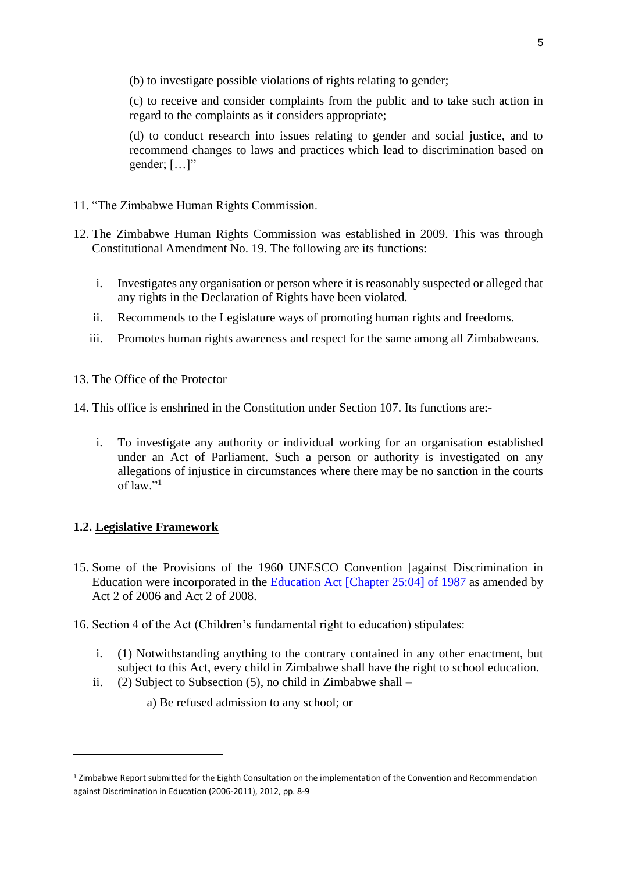(b) to investigate possible violations of rights relating to gender;

(c) to receive and consider complaints from the public and to take such action in regard to the complaints as it considers appropriate;

(d) to conduct research into issues relating to gender and social justice, and to recommend changes to laws and practices which lead to discrimination based on gender;  $[\dots]$ "

- 11. "The Zimbabwe Human Rights Commission.
- 12. The Zimbabwe Human Rights Commission was established in 2009. This was through Constitutional Amendment No. 19. The following are its functions:
	- i. Investigates any organisation or person where it is reasonably suspected or alleged that any rights in the Declaration of Rights have been violated.
	- ii. Recommends to the Legislature ways of promoting human rights and freedoms.
	- iii. Promotes human rights awareness and respect for the same among all Zimbabweans.
- 13. The Office of the Protector
- 14. This office is enshrined in the Constitution under Section 107. Its functions are:
	- i. To investigate any authority or individual working for an organisation established under an Act of Parliament. Such a person or authority is investigated on any allegations of injustice in circumstances where there may be no sanction in the courts of law."<sup>1</sup>

### **1.2. Legislative Framework**

- 15. Some of the Provisions of the 1960 UNESCO Convention [against Discrimination in Education were incorporated in the [Education Act \[Chapter 25:04\] of 1987](http://www.unesco.org/education/edurights/media/docs/d0945389cdf8992e8cb5f3a4b05ef3b3aa0e6512.pdf) as amended by Act 2 of 2006 and Act 2 of 2008.
- 16. Section 4 of the Act (Children's fundamental right to education) stipulates:
	- i. (1) Notwithstanding anything to the contrary contained in any other enactment, but subject to this Act, every child in Zimbabwe shall have the right to school education.
	- ii. (2) Subject to Subsection (5), no child in Zimbabwe shall
		- a) Be refused admission to any school; or

<sup>1</sup> Zimbabwe Report submitted for the Eighth Consultation on the implementation of the Convention and Recommendation against Discrimination in Education (2006-2011), 2012, pp. 8-9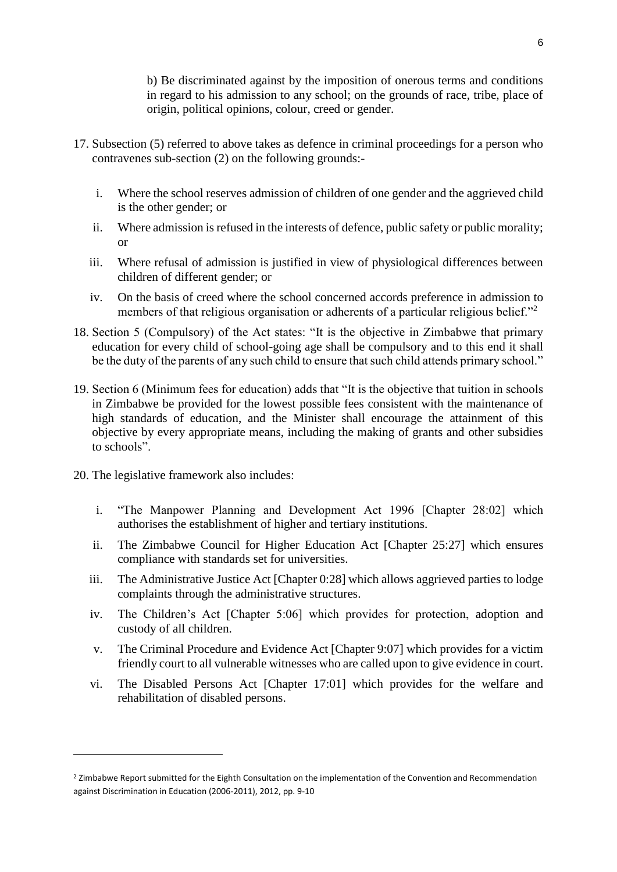b) Be discriminated against by the imposition of onerous terms and conditions in regard to his admission to any school; on the grounds of race, tribe, place of origin, political opinions, colour, creed or gender.

- 17. Subsection (5) referred to above takes as defence in criminal proceedings for a person who contravenes sub-section (2) on the following grounds:
	- i. Where the school reserves admission of children of one gender and the aggrieved child is the other gender; or
	- ii. Where admission is refused in the interests of defence, public safety or public morality; or
	- iii. Where refusal of admission is justified in view of physiological differences between children of different gender; or
	- iv. On the basis of creed where the school concerned accords preference in admission to members of that religious organisation or adherents of a particular religious belief."<sup>2</sup>
- 18. Section 5 (Compulsory) of the Act states: "It is the objective in Zimbabwe that primary education for every child of school-going age shall be compulsory and to this end it shall be the duty of the parents of any such child to ensure that such child attends primary school."
- 19. Section 6 (Minimum fees for education) adds that "It is the objective that tuition in schools in Zimbabwe be provided for the lowest possible fees consistent with the maintenance of high standards of education, and the Minister shall encourage the attainment of this objective by every appropriate means, including the making of grants and other subsidies to schools".
- 20. The legislative framework also includes:

- i. "The Manpower Planning and Development Act 1996 [Chapter 28:02] which authorises the establishment of higher and tertiary institutions.
- ii. The Zimbabwe Council for Higher Education Act [Chapter 25:27] which ensures compliance with standards set for universities.
- iii. The Administrative Justice Act [Chapter 0:28] which allows aggrieved parties to lodge complaints through the administrative structures.
- iv. The Children's Act [Chapter 5:06] which provides for protection, adoption and custody of all children.
- v. The Criminal Procedure and Evidence Act [Chapter 9:07] which provides for a victim friendly court to all vulnerable witnesses who are called upon to give evidence in court.
- vi. The Disabled Persons Act [Chapter 17:01] which provides for the welfare and rehabilitation of disabled persons.

<sup>&</sup>lt;sup>2</sup> Zimbabwe Report submitted for the Eighth Consultation on the implementation of the Convention and Recommendation against Discrimination in Education (2006-2011), 2012, pp. 9-10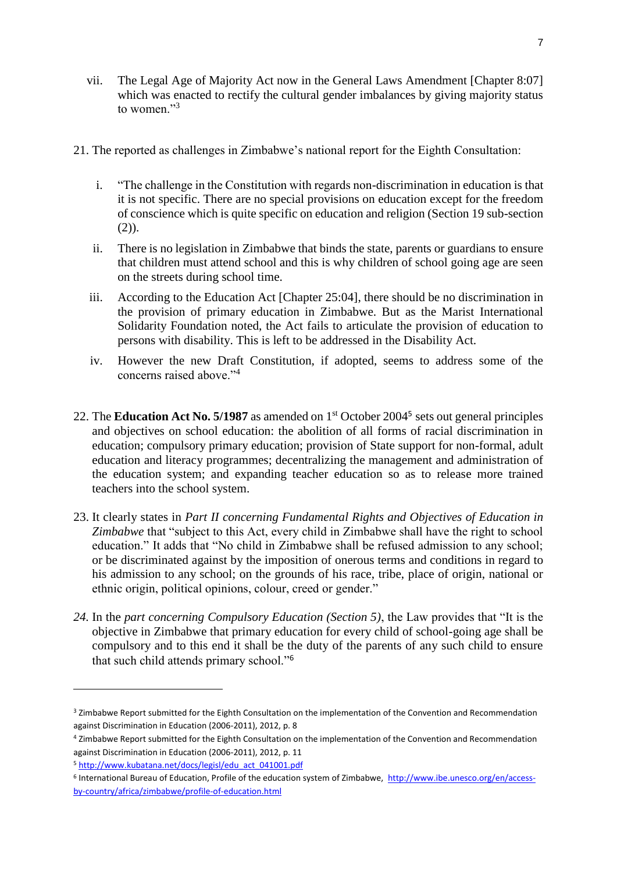- vii. The Legal Age of Majority Act now in the General Laws Amendment [Chapter 8:07] which was enacted to rectify the cultural gender imbalances by giving majority status to women $\cdot$ <sup>3</sup>
- 21. The reported as challenges in Zimbabwe's national report for the Eighth Consultation:
	- i. "The challenge in the Constitution with regards non-discrimination in education is that it is not specific. There are no special provisions on education except for the freedom of conscience which is quite specific on education and religion (Section 19 sub-section  $(2)$ ).
	- ii. There is no legislation in Zimbabwe that binds the state, parents or guardians to ensure that children must attend school and this is why children of school going age are seen on the streets during school time.
	- iii. According to the Education Act [Chapter 25:04], there should be no discrimination in the provision of primary education in Zimbabwe. But as the Marist International Solidarity Foundation noted, the Act fails to articulate the provision of education to persons with disability. This is left to be addressed in the Disability Act.
	- iv. However the new Draft Constitution, if adopted, seems to address some of the concerns raised above."<sup>4</sup>
- 22. The **Education Act No. 5/1987** as amended on 1<sup>st</sup> October 2004<sup>5</sup> sets out general principles and objectives on school education: the abolition of all forms of racial discrimination in education; compulsory primary education; provision of State support for non-formal, adult education and literacy programmes; decentralizing the management and administration of the education system; and expanding teacher education so as to release more trained teachers into the school system.
- 23. It clearly states in *Part II concerning Fundamental Rights and Objectives of Education in Zimbabwe* that "subject to this Act, every child in Zimbabwe shall have the right to school education." It adds that "No child in Zimbabwe shall be refused admission to any school; or be discriminated against by the imposition of onerous terms and conditions in regard to his admission to any school; on the grounds of his race, tribe, place of origin, national or ethnic origin, political opinions, colour, creed or gender."
- *24.* In the *part concerning Compulsory Education (Section 5)*, the Law provides that "It is the objective in Zimbabwe that primary education for every child of school-going age shall be compulsory and to this end it shall be the duty of the parents of any such child to ensure that such child attends primary school."<sup>6</sup>

<sup>&</sup>lt;sup>3</sup> Zimbabwe Report submitted for the Eighth Consultation on the implementation of the Convention and Recommendation against Discrimination in Education (2006-2011), 2012, p. 8

<sup>4</sup> Zimbabwe Report submitted for the Eighth Consultation on the implementation of the Convention and Recommendation against Discrimination in Education (2006-2011), 2012, p. 11

<sup>5</sup> [http://www.kubatana.net/docs/legisl/edu\\_act\\_041001.pdf](http://www.kubatana.net/docs/legisl/edu_act_041001.pdf) 

<sup>&</sup>lt;sup>6</sup> International Bureau of Education, Profile of the education system of Zimbabwe, [http://www.ibe.unesco.org/en/access](http://www.ibe.unesco.org/en/access-by-country/africa/zimbabwe/profile-of-education.html)[by-country/africa/zimbabwe/profile-of-education.html](http://www.ibe.unesco.org/en/access-by-country/africa/zimbabwe/profile-of-education.html)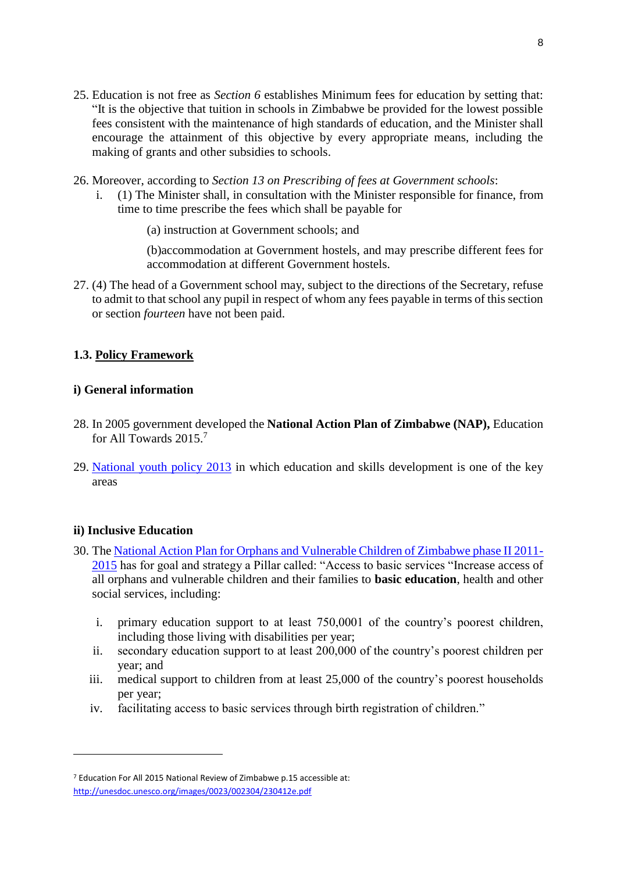- 25. Education is not free as *Section 6* establishes Minimum fees for education by setting that: "It is the objective that tuition in schools in Zimbabwe be provided for the lowest possible fees consistent with the maintenance of high standards of education, and the Minister shall encourage the attainment of this objective by every appropriate means, including the making of grants and other subsidies to schools.
- 26. Moreover, according to *Section 13 on Prescribing of fees at Government schools*:
	- i. (1) The Minister shall, in consultation with the Minister responsible for finance, from time to time prescribe the fees which shall be payable for
		- (a) instruction at Government schools; and

(b)accommodation at Government hostels, and may prescribe different fees for accommodation at different Government hostels.

27. (4) The head of a Government school may, subject to the directions of the Secretary, refuse to admit to that school any pupil in respect of whom any fees payable in terms of this section or section *fourteen* have not been paid.

# **1.3. Policy Framework**

# **i) General information**

- 28. In 2005 government developed the **National Action Plan of Zimbabwe (NAP),** Education for All Towards 2015.<sup>7</sup>
- 29. [National youth policy 2013](http://www.unesco.org/education/edurights/media/docs/6a282ededb1a68dc109f7cf4a91e488f87f833ed.pdf) in which education and skills development is one of the key areas

# **ii) Inclusive Education**

- 30. The [National Action Plan for Orphans and Vulnerable Children of Zimbabwe phase II 2011-](http://www.unesco.org/education/edurights/media/docs/f00eb23e008ec8387528e255fb4cc5cec490b62a.pdf) [2015](http://www.unesco.org/education/edurights/media/docs/f00eb23e008ec8387528e255fb4cc5cec490b62a.pdf) has for goal and strategy a Pillar called: "Access to basic services "Increase access of all orphans and vulnerable children and their families to **basic education**, health and other social services, including:
	- i. primary education support to at least 750,0001 of the country's poorest children, including those living with disabilities per year;
	- ii. secondary education support to at least 200,000 of the country's poorest children per year; and
	- iii. medical support to children from at least 25,000 of the country's poorest households per year;
	- iv. facilitating access to basic services through birth registration of children."

<sup>7</sup> Education For All 2015 National Review of Zimbabwe p.15 accessible at: <http://unesdoc.unesco.org/images/0023/002304/230412e.pdf>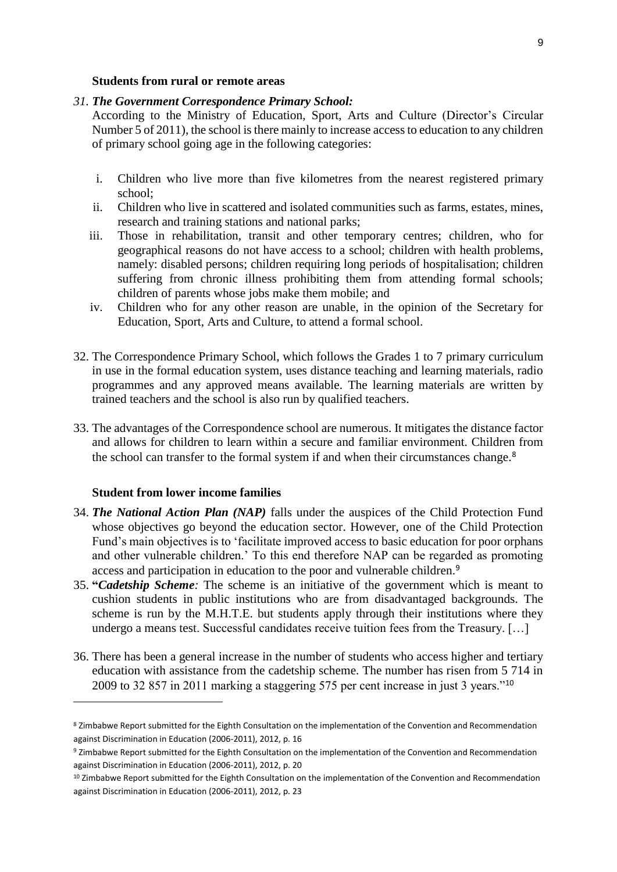#### **Students from rural or remote areas**

#### *31. The Government Correspondence Primary School:*

According to the Ministry of Education, Sport, Arts and Culture (Director's Circular Number 5 of 2011), the school is there mainly to increase access to education to any children of primary school going age in the following categories:

- i. Children who live more than five kilometres from the nearest registered primary school;
- ii. Children who live in scattered and isolated communities such as farms, estates, mines, research and training stations and national parks;
- iii. Those in rehabilitation, transit and other temporary centres; children, who for geographical reasons do not have access to a school; children with health problems, namely: disabled persons; children requiring long periods of hospitalisation; children suffering from chronic illness prohibiting them from attending formal schools; children of parents whose jobs make them mobile; and
- iv. Children who for any other reason are unable, in the opinion of the Secretary for Education, Sport, Arts and Culture, to attend a formal school.
- 32. The Correspondence Primary School, which follows the Grades 1 to 7 primary curriculum in use in the formal education system, uses distance teaching and learning materials, radio programmes and any approved means available. The learning materials are written by trained teachers and the school is also run by qualified teachers.
- 33. The advantages of the Correspondence school are numerous. It mitigates the distance factor and allows for children to learn within a secure and familiar environment. Children from the school can transfer to the formal system if and when their circumstances change.<sup>8</sup>

#### **Student from lower income families**

- 34. *The National Action Plan (NAP)* falls under the auspices of the Child Protection Fund whose objectives go beyond the education sector. However, one of the Child Protection Fund's main objectives is to 'facilitate improved access to basic education for poor orphans and other vulnerable children.' To this end therefore NAP can be regarded as promoting access and participation in education to the poor and vulnerable children.<sup>9</sup>
- 35. **"***Cadetship Scheme:* The scheme is an initiative of the government which is meant to cushion students in public institutions who are from disadvantaged backgrounds. The scheme is run by the M.H.T.E. but students apply through their institutions where they undergo a means test. Successful candidates receive tuition fees from the Treasury. […]
- 36. There has been a general increase in the number of students who access higher and tertiary education with assistance from the cadetship scheme. The number has risen from 5 714 in 2009 to 32 857 in 2011 marking a staggering 575 per cent increase in just 3 years."<sup>10</sup>

<sup>8</sup> Zimbabwe Report submitted for the Eighth Consultation on the implementation of the Convention and Recommendation against Discrimination in Education (2006-2011), 2012, p. 16

<sup>9</sup> Zimbabwe Report submitted for the Eighth Consultation on the implementation of the Convention and Recommendation against Discrimination in Education (2006-2011), 2012, p. 20

<sup>&</sup>lt;sup>10</sup> Zimbabwe Report submitted for the Eighth Consultation on the implementation of the Convention and Recommendation against Discrimination in Education (2006-2011), 2012, p. 23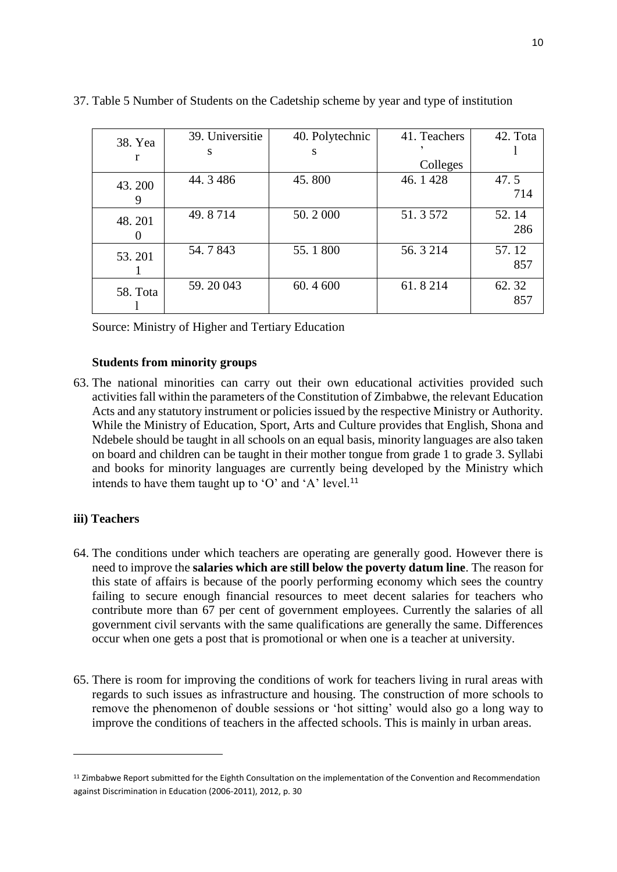| 38. Yea  | 39. Universitie | 40. Polytechnic | 41. Teachers | 42. Tota |
|----------|-----------------|-----------------|--------------|----------|
|          | S               | S               |              |          |
|          |                 |                 | Colleges     |          |
| 43.200   | 44.3486         | 45.800          | 46.1428      | 47.5     |
| 9        |                 |                 |              | 714      |
| 48.201   | 49.8714         | 50.2000         | 51.3572      | 52.14    |
|          |                 |                 |              | 286      |
| 53.201   | 54.7843         | 55.1800         | 56.3214      | 57.12    |
|          |                 |                 |              | 857      |
| 58. Tota | 59.20043        | 60.4 600        | 61.8214      | 62.32    |
|          |                 |                 |              | 857      |

37. Table 5 Number of Students on the Cadetship scheme by year and type of institution

Source: Ministry of Higher and Tertiary Education

#### **Students from minority groups**

63. The national minorities can carry out their own educational activities provided such activities fall within the parameters of the Constitution of Zimbabwe, the relevant Education Acts and any statutory instrument or policies issued by the respective Ministry or Authority. While the Ministry of Education, Sport, Arts and Culture provides that English, Shona and Ndebele should be taught in all schools on an equal basis, minority languages are also taken on board and children can be taught in their mother tongue from grade 1 to grade 3. Syllabi and books for minority languages are currently being developed by the Ministry which intends to have them taught up to 'O' and 'A' level.<sup>11</sup>

#### **iii) Teachers**

- 64. The conditions under which teachers are operating are generally good. However there is need to improve the **salaries which are still below the poverty datum line**. The reason for this state of affairs is because of the poorly performing economy which sees the country failing to secure enough financial resources to meet decent salaries for teachers who contribute more than 67 per cent of government employees. Currently the salaries of all government civil servants with the same qualifications are generally the same. Differences occur when one gets a post that is promotional or when one is a teacher at university.
- 65. There is room for improving the conditions of work for teachers living in rural areas with regards to such issues as infrastructure and housing. The construction of more schools to remove the phenomenon of double sessions or 'hot sitting' would also go a long way to improve the conditions of teachers in the affected schools. This is mainly in urban areas.

<sup>&</sup>lt;sup>11</sup> Zimbabwe Report submitted for the Eighth Consultation on the implementation of the Convention and Recommendation against Discrimination in Education (2006-2011), 2012, p. 30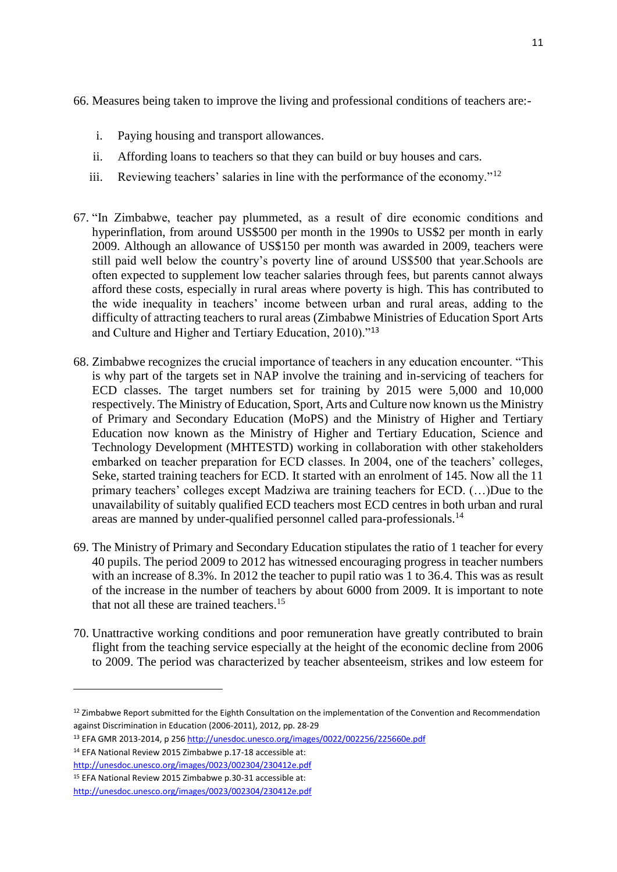66. Measures being taken to improve the living and professional conditions of teachers are:-

- i. Paying housing and transport allowances.
- ii. Affording loans to teachers so that they can build or buy houses and cars.
- iii. Reviewing teachers' salaries in line with the performance of the economy."<sup>12</sup>
- 67. "In Zimbabwe, teacher pay plummeted, as a result of dire economic conditions and hyperinflation, from around US\$500 per month in the 1990s to US\$2 per month in early 2009. Although an allowance of US\$150 per month was awarded in 2009, teachers were still paid well below the country's poverty line of around US\$500 that year.Schools are often expected to supplement low teacher salaries through fees, but parents cannot always afford these costs, especially in rural areas where poverty is high. This has contributed to the wide inequality in teachers' income between urban and rural areas, adding to the difficulty of attracting teachers to rural areas (Zimbabwe Ministries of Education Sport Arts and Culture and Higher and Tertiary Education, 2010)."<sup>13</sup>
- 68. Zimbabwe recognizes the crucial importance of teachers in any education encounter. "This is why part of the targets set in NAP involve the training and in-servicing of teachers for ECD classes. The target numbers set for training by 2015 were 5,000 and 10,000 respectively. The Ministry of Education, Sport, Arts and Culture now known us the Ministry of Primary and Secondary Education (MoPS) and the Ministry of Higher and Tertiary Education now known as the Ministry of Higher and Tertiary Education, Science and Technology Development (MHTESTD) working in collaboration with other stakeholders embarked on teacher preparation for ECD classes. In 2004, one of the teachers' colleges, Seke, started training teachers for ECD. It started with an enrolment of 145. Now all the 11 primary teachers' colleges except Madziwa are training teachers for ECD. (…)Due to the unavailability of suitably qualified ECD teachers most ECD centres in both urban and rural areas are manned by under-qualified personnel called para-professionals.<sup>14</sup>
- 69. The Ministry of Primary and Secondary Education stipulates the ratio of 1 teacher for every 40 pupils. The period 2009 to 2012 has witnessed encouraging progress in teacher numbers with an increase of 8.3%. In 2012 the teacher to pupil ratio was 1 to 36.4. This was as result of the increase in the number of teachers by about 6000 from 2009. It is important to note that not all these are trained teachers.<sup>15</sup>
- 70. Unattractive working conditions and poor remuneration have greatly contributed to brain flight from the teaching service especially at the height of the economic decline from 2006 to 2009. The period was characterized by teacher absenteeism, strikes and low esteem for

 $12$  Zimbabwe Report submitted for the Eighth Consultation on the implementation of the Convention and Recommendation against Discrimination in Education (2006-2011), 2012, pp. 28-29

<sup>13</sup> EFA GMR 2013-2014, p 256<http://unesdoc.unesco.org/images/0022/002256/225660e.pdf>

<sup>14</sup> EFA National Review 2015 Zimbabwe p.17-18 accessible at:

<http://unesdoc.unesco.org/images/0023/002304/230412e.pdf>

<sup>15</sup> EFA National Review 2015 Zimbabwe p.30-31 accessible at:

<http://unesdoc.unesco.org/images/0023/002304/230412e.pdf>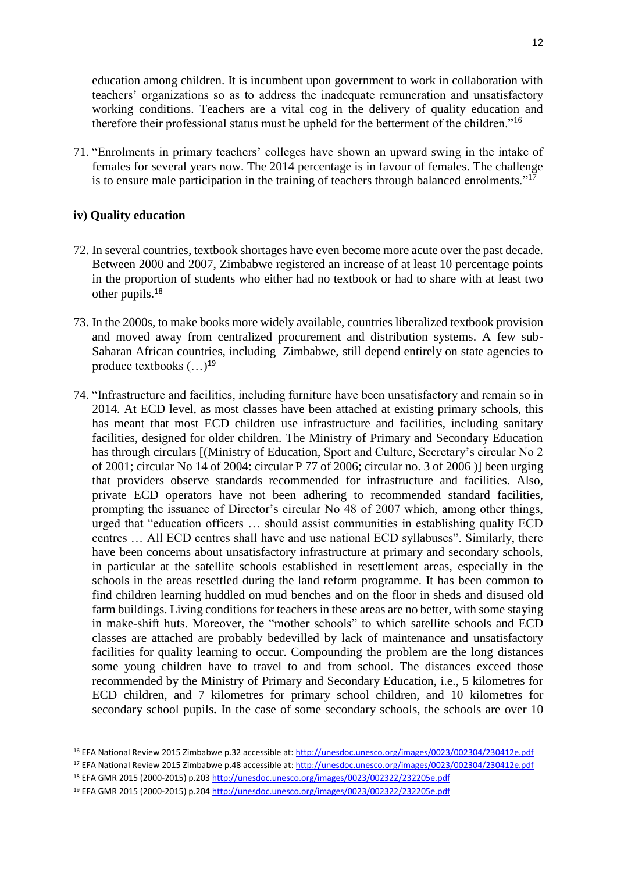education among children. It is incumbent upon government to work in collaboration with teachers' organizations so as to address the inadequate remuneration and unsatisfactory working conditions. Teachers are a vital cog in the delivery of quality education and therefore their professional status must be upheld for the betterment of the children."<sup>16</sup>

71. "Enrolments in primary teachers' colleges have shown an upward swing in the intake of females for several years now. The 2014 percentage is in favour of females. The challenge is to ensure male participation in the training of teachers through balanced enrolments."<sup>17</sup>

### **iv) Quality education**

- 72. In several countries, textbook shortages have even become more acute over the past decade. Between 2000 and 2007, Zimbabwe registered an increase of at least 10 percentage points in the proportion of students who either had no textbook or had to share with at least two other pupils.<sup>18</sup>
- 73. In the 2000s, to make books more widely available, countries liberalized textbook provision and moved away from centralized procurement and distribution systems. A few sub-Saharan African countries, including Zimbabwe, still depend entirely on state agencies to produce textbooks  $(...)^{19}$
- 74. "Infrastructure and facilities, including furniture have been unsatisfactory and remain so in 2014. At ECD level, as most classes have been attached at existing primary schools, this has meant that most ECD children use infrastructure and facilities, including sanitary facilities, designed for older children. The Ministry of Primary and Secondary Education has through circulars [(Ministry of Education, Sport and Culture, Secretary's circular No 2 of 2001; circular No 14 of 2004: circular P 77 of 2006; circular no. 3 of 2006 )] been urging that providers observe standards recommended for infrastructure and facilities. Also, private ECD operators have not been adhering to recommended standard facilities, prompting the issuance of Director's circular No 48 of 2007 which, among other things, urged that "education officers … should assist communities in establishing quality ECD centres … All ECD centres shall have and use national ECD syllabuses". Similarly, there have been concerns about unsatisfactory infrastructure at primary and secondary schools, in particular at the satellite schools established in resettlement areas, especially in the schools in the areas resettled during the land reform programme. It has been common to find children learning huddled on mud benches and on the floor in sheds and disused old farm buildings. Living conditions for teachers in these areas are no better, with some staying in make-shift huts. Moreover, the "mother schools" to which satellite schools and ECD classes are attached are probably bedevilled by lack of maintenance and unsatisfactory facilities for quality learning to occur. Compounding the problem are the long distances some young children have to travel to and from school. The distances exceed those recommended by the Ministry of Primary and Secondary Education, i.e., 5 kilometres for ECD children, and 7 kilometres for primary school children, and 10 kilometres for secondary school pupils**.** In the case of some secondary schools, the schools are over 10

<sup>&</sup>lt;sup>16</sup> EFA National Review 2015 Zimbabwe p.32 accessible at[: http://unesdoc.unesco.org/images/0023/002304/230412e.pdf](http://unesdoc.unesco.org/images/0023/002304/230412e.pdf)

<sup>&</sup>lt;sup>17</sup> EFA National Review 2015 Zimbabwe p.48 accessible at[: http://unesdoc.unesco.org/images/0023/002304/230412e.pdf](http://unesdoc.unesco.org/images/0023/002304/230412e.pdf)

<sup>18</sup> EFA GMR 2015 (2000-2015) p.203<http://unesdoc.unesco.org/images/0023/002322/232205e.pdf>

<sup>19</sup> EFA GMR 2015 (2000-2015) p.204<http://unesdoc.unesco.org/images/0023/002322/232205e.pdf>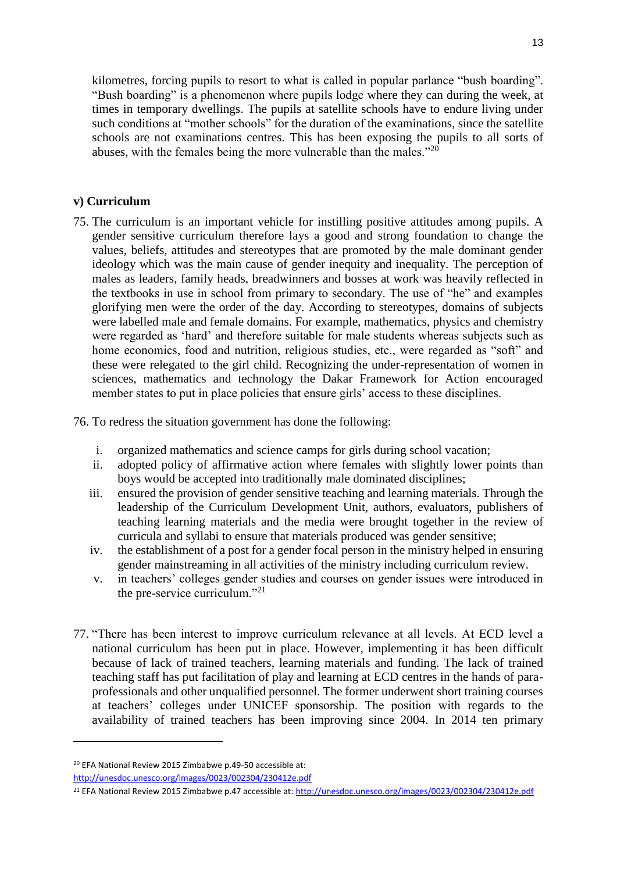kilometres, forcing pupils to resort to what is called in popular parlance "bush boarding". "Bush boarding" is a phenomenon where pupils lodge where they can during the week, at times in temporary dwellings. The pupils at satellite schools have to endure living under such conditions at "mother schools" for the duration of the examinations, since the satellite schools are not examinations centres. This has been exposing the pupils to all sorts of abuses, with the females being the more vulnerable than the males."<sup>20</sup>

### **v) Curriculum**

- 75. The curriculum is an important vehicle for instilling positive attitudes among pupils. A gender sensitive curriculum therefore lays a good and strong foundation to change the values, beliefs, attitudes and stereotypes that are promoted by the male dominant gender ideology which was the main cause of gender inequity and inequality. The perception of males as leaders, family heads, breadwinners and bosses at work was heavily reflected in the textbooks in use in school from primary to secondary. The use of "he" and examples glorifying men were the order of the day. According to stereotypes, domains of subjects were labelled male and female domains. For example, mathematics, physics and chemistry were regarded as 'hard' and therefore suitable for male students whereas subjects such as home economics, food and nutrition, religious studies, etc., were regarded as "soft" and these were relegated to the girl child. Recognizing the under-representation of women in sciences, mathematics and technology the Dakar Framework for Action encouraged member states to put in place policies that ensure girls' access to these disciplines.
- 76. To redress the situation government has done the following:
	- i. organized mathematics and science camps for girls during school vacation;
	- ii. adopted policy of affirmative action where females with slightly lower points than boys would be accepted into traditionally male dominated disciplines;
	- iii. ensured the provision of gender sensitive teaching and learning materials. Through the leadership of the Curriculum Development Unit, authors, evaluators, publishers of teaching learning materials and the media were brought together in the review of curricula and syllabi to ensure that materials produced was gender sensitive;
	- iv. the establishment of a post for a gender focal person in the ministry helped in ensuring gender mainstreaming in all activities of the ministry including curriculum review.
	- v. in teachers' colleges gender studies and courses on gender issues were introduced in the pre-service curriculum."<sup>21</sup>
- 77. "There has been interest to improve curriculum relevance at all levels. At ECD level a national curriculum has been put in place. However, implementing it has been difficult because of lack of trained teachers, learning materials and funding. The lack of trained teaching staff has put facilitation of play and learning at ECD centres in the hands of paraprofessionals and other unqualified personnel. The former underwent short training courses at teachers' colleges under UNICEF sponsorship. The position with regards to the availability of trained teachers has been improving since 2004. In 2014 ten primary

 $\overline{\phantom{a}}$ 

<sup>20</sup> EFA National Review 2015 Zimbabwe p.49-50 accessible at:

<http://unesdoc.unesco.org/images/0023/002304/230412e.pdf>

<sup>&</sup>lt;sup>21</sup> EFA National Review 2015 Zimbabwe p.47 accessible at[: http://unesdoc.unesco.org/images/0023/002304/230412e.pdf](http://unesdoc.unesco.org/images/0023/002304/230412e.pdf)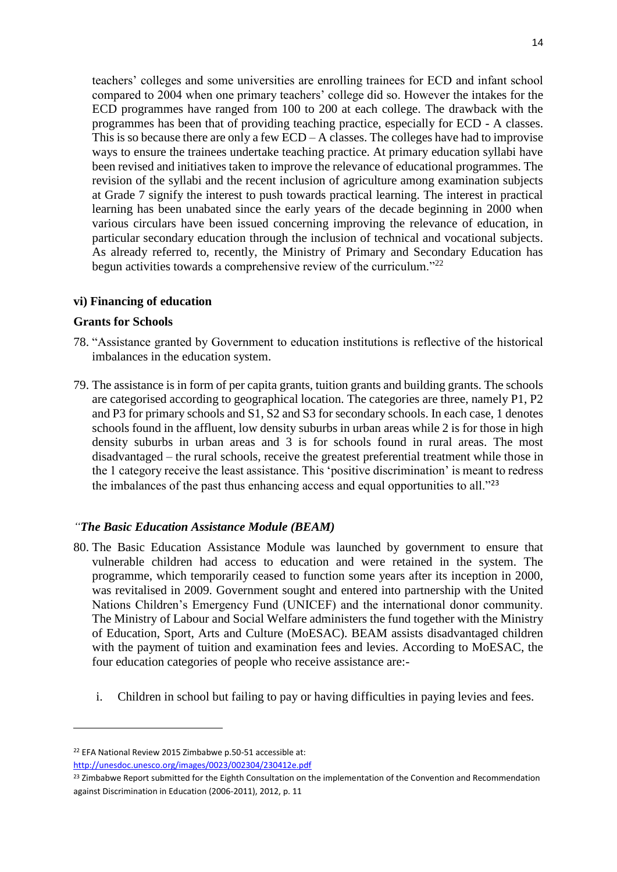teachers' colleges and some universities are enrolling trainees for ECD and infant school compared to 2004 when one primary teachers' college did so. However the intakes for the ECD programmes have ranged from 100 to 200 at each college. The drawback with the programmes has been that of providing teaching practice, especially for ECD - A classes. This is so because there are only a few ECD – A classes. The colleges have had to improvise ways to ensure the trainees undertake teaching practice. At primary education syllabi have been revised and initiatives taken to improve the relevance of educational programmes. The revision of the syllabi and the recent inclusion of agriculture among examination subjects at Grade 7 signify the interest to push towards practical learning. The interest in practical learning has been unabated since the early years of the decade beginning in 2000 when various circulars have been issued concerning improving the relevance of education, in particular secondary education through the inclusion of technical and vocational subjects. As already referred to, recently, the Ministry of Primary and Secondary Education has begun activities towards a comprehensive review of the curriculum.<sup>"22</sup>

#### **vi) Financing of education**

#### **Grants for Schools**

- 78. "Assistance granted by Government to education institutions is reflective of the historical imbalances in the education system.
- 79. The assistance is in form of per capita grants, tuition grants and building grants. The schools are categorised according to geographical location. The categories are three, namely P1, P2 and P3 for primary schools and S1, S2 and S3 for secondary schools. In each case, 1 denotes schools found in the affluent, low density suburbs in urban areas while 2 is for those in high density suburbs in urban areas and 3 is for schools found in rural areas. The most disadvantaged – the rural schools, receive the greatest preferential treatment while those in the 1 category receive the least assistance. This 'positive discrimination' is meant to redress the imbalances of the past thus enhancing access and equal opportunities to all."<sup>23</sup>

### *"The Basic Education Assistance Module (BEAM)*

- 80. The Basic Education Assistance Module was launched by government to ensure that vulnerable children had access to education and were retained in the system. The programme, which temporarily ceased to function some years after its inception in 2000, was revitalised in 2009. Government sought and entered into partnership with the United Nations Children's Emergency Fund (UNICEF) and the international donor community. The Ministry of Labour and Social Welfare administers the fund together with the Ministry of Education, Sport, Arts and Culture (MoESAC). BEAM assists disadvantaged children with the payment of tuition and examination fees and levies. According to MoESAC, the four education categories of people who receive assistance are:
	- i. Children in school but failing to pay or having difficulties in paying levies and fees.

<sup>22</sup> EFA National Review 2015 Zimbabwe p.50-51 accessible at: <http://unesdoc.unesco.org/images/0023/002304/230412e.pdf>

<sup>&</sup>lt;sup>23</sup> Zimbabwe Report submitted for the Eighth Consultation on the implementation of the Convention and Recommendation against Discrimination in Education (2006-2011), 2012, p. 11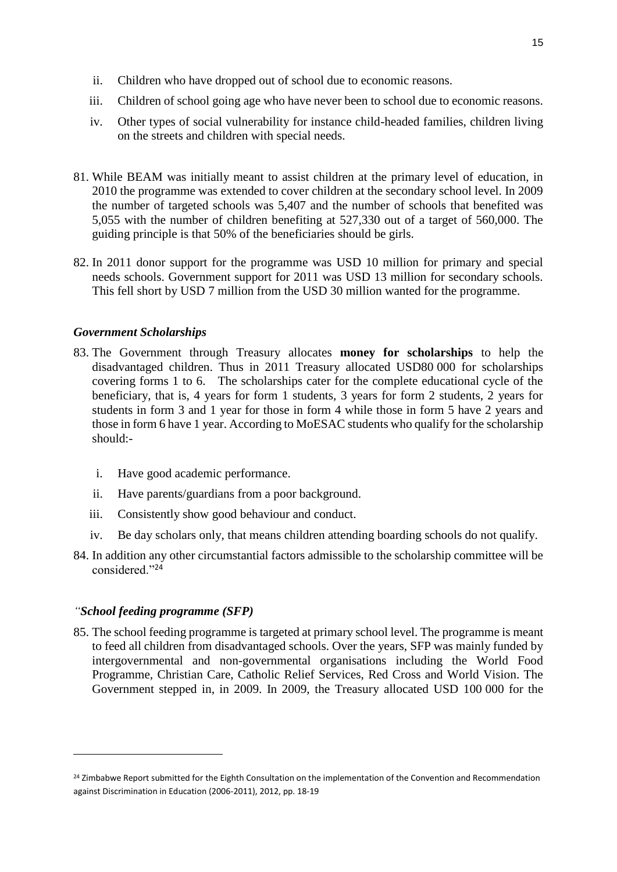- ii. Children who have dropped out of school due to economic reasons.
- iii. Children of school going age who have never been to school due to economic reasons.
- iv. Other types of social vulnerability for instance child-headed families, children living on the streets and children with special needs.
- 81. While BEAM was initially meant to assist children at the primary level of education, in 2010 the programme was extended to cover children at the secondary school level. In 2009 the number of targeted schools was 5,407 and the number of schools that benefited was 5,055 with the number of children benefiting at 527,330 out of a target of 560,000. The guiding principle is that 50% of the beneficiaries should be girls.
- 82. In 2011 donor support for the programme was USD 10 million for primary and special needs schools. Government support for 2011 was USD 13 million for secondary schools. This fell short by USD 7 million from the USD 30 million wanted for the programme.

#### *Government Scholarships*

- 83. The Government through Treasury allocates **money for scholarships** to help the disadvantaged children. Thus in 2011 Treasury allocated USD80 000 for scholarships covering forms 1 to 6. The scholarships cater for the complete educational cycle of the beneficiary, that is, 4 years for form 1 students, 3 years for form 2 students, 2 years for students in form 3 and 1 year for those in form 4 while those in form 5 have 2 years and those in form 6 have 1 year. According to MoESAC students who qualify for the scholarship should:
	- i. Have good academic performance.
	- ii. Have parents/guardians from a poor background.
	- iii. Consistently show good behaviour and conduct.
	- iv. Be day scholars only, that means children attending boarding schools do not qualify.
- 84. In addition any other circumstantial factors admissible to the scholarship committee will be considered."<sup>24</sup>

#### *"School feeding programme (SFP)*

 $\overline{a}$ 

85. The school feeding programme is targeted at primary school level. The programme is meant to feed all children from disadvantaged schools. Over the years, SFP was mainly funded by intergovernmental and non-governmental organisations including the World Food Programme, Christian Care, Catholic Relief Services, Red Cross and World Vision. The Government stepped in, in 2009. In 2009, the Treasury allocated USD 100 000 for the

<sup>&</sup>lt;sup>24</sup> Zimbabwe Report submitted for the Eighth Consultation on the implementation of the Convention and Recommendation against Discrimination in Education (2006-2011), 2012, pp. 18-19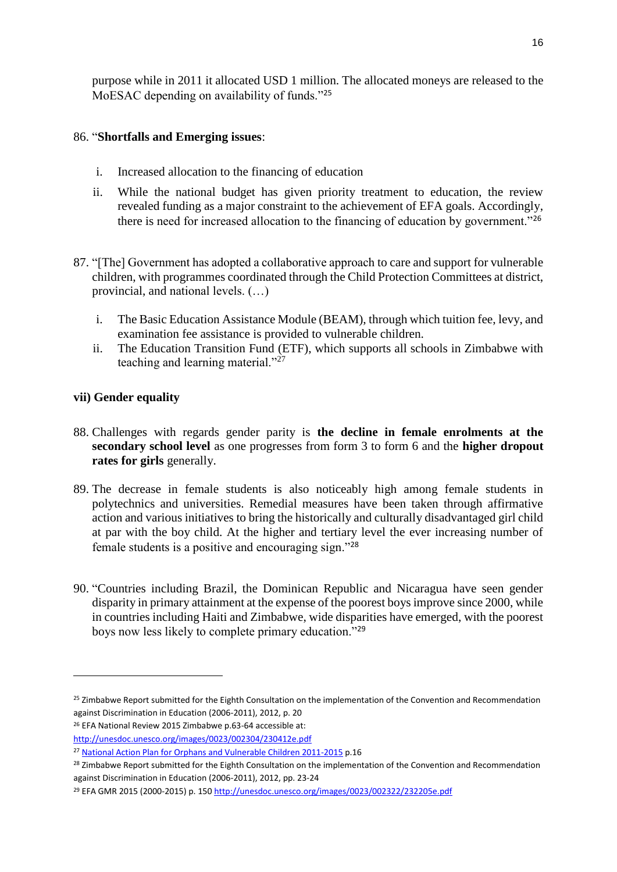purpose while in 2011 it allocated USD 1 million. The allocated moneys are released to the MoESAC depending on availability of funds."25

### 86. "**Shortfalls and Emerging issues**:

- i. Increased allocation to the financing of education
- ii. While the national budget has given priority treatment to education, the review revealed funding as a major constraint to the achievement of EFA goals. Accordingly, there is need for increased allocation to the financing of education by government."<sup>26</sup>
- 87. "[The] Government has adopted a collaborative approach to care and support for vulnerable children, with programmes coordinated through the Child Protection Committees at district, provincial, and national levels. (…)
	- i. The Basic Education Assistance Module (BEAM), through which tuition fee, levy, and examination fee assistance is provided to vulnerable children.
	- ii. The Education Transition Fund (ETF), which supports all schools in Zimbabwe with teaching and learning material."<sup>27</sup>

### **vii) Gender equality**

- 88. Challenges with regards gender parity is **the decline in female enrolments at the secondary school level** as one progresses from form 3 to form 6 and the **higher dropout rates for girls** generally.
- 89. The decrease in female students is also noticeably high among female students in polytechnics and universities. Remedial measures have been taken through affirmative action and various initiatives to bring the historically and culturally disadvantaged girl child at par with the boy child. At the higher and tertiary level the ever increasing number of female students is a positive and encouraging sign."<sup>28</sup>
- 90. "Countries including Brazil, the Dominican Republic and Nicaragua have seen gender disparity in primary attainment at the expense of the poorest boys improve since 2000, while in countries including Haiti and Zimbabwe, wide disparities have emerged, with the poorest boys now less likely to complete primary education."<sup>29</sup>

<sup>&</sup>lt;sup>25</sup> Zimbabwe Report submitted for the Eighth Consultation on the implementation of the Convention and Recommendation against Discrimination in Education (2006-2011), 2012, p. 20

<sup>26</sup> EFA National Review 2015 Zimbabwe p.63-64 accessible at:

<http://unesdoc.unesco.org/images/0023/002304/230412e.pdf>

<sup>&</sup>lt;sup>27</sup> [National Action Plan for Orphans and Vulnerable Children 2011-2015](http://www.unesco.org/education/edurights/media/docs/f00eb23e008ec8387528e255fb4cc5cec490b62a.pdf) p.16

<sup>&</sup>lt;sup>28</sup> Zimbabwe Report submitted for the Eighth Consultation on the implementation of the Convention and Recommendation against Discrimination in Education (2006-2011), 2012, pp. 23-24

<sup>29</sup> EFA GMR 2015 (2000-2015) p. 150<http://unesdoc.unesco.org/images/0023/002322/232205e.pdf>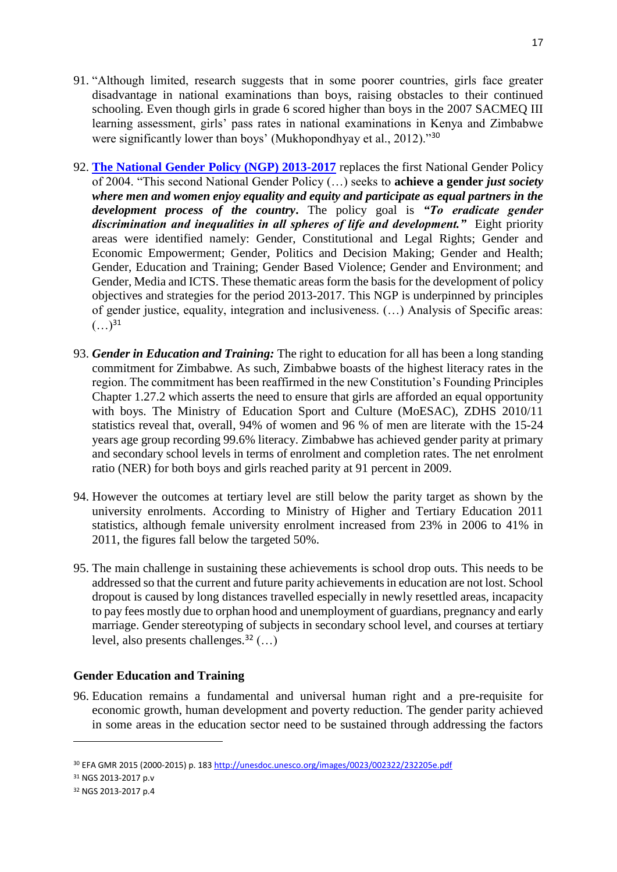- 91. "Although limited, research suggests that in some poorer countries, girls face greater disadvantage in national examinations than boys, raising obstacles to their continued schooling. Even though girls in grade 6 scored higher than boys in the 2007 SACMEQ III learning assessment, girls' pass rates in national examinations in Kenya and Zimbabwe were significantly lower than boys' (Mukhopondhyay et al., 2012).<sup>30</sup>
- 92. **[The National Gender Policy \(NGP\) 2013-2017](http://www.unesco.org/education/edurights/media/docs/43bd848326f7d0235674ad9ffcb9ec101dba2673.pdf)** replaces the first National Gender Policy of 2004. "This second National Gender Policy (…) seeks to **achieve a gender** *just society where men and women enjoy equality and equity and participate as equal partners in the development process of the country***.** The policy goal is *"To eradicate gender discrimination and inequalities in all spheres of life and development."* Eight priority areas were identified namely: Gender, Constitutional and Legal Rights; Gender and Economic Empowerment; Gender, Politics and Decision Making; Gender and Health; Gender, Education and Training; Gender Based Violence; Gender and Environment; and Gender, Media and ICTS. These thematic areas form the basis for the development of policy objectives and strategies for the period 2013-2017. This NGP is underpinned by principles of gender justice, equality, integration and inclusiveness. (…) Analysis of Specific areas:  $(\ldots)^{31}$
- 93. *Gender in Education and Training:* The right to education for all has been a long standing commitment for Zimbabwe. As such, Zimbabwe boasts of the highest literacy rates in the region. The commitment has been reaffirmed in the new Constitution's Founding Principles Chapter 1.27.2 which asserts the need to ensure that girls are afforded an equal opportunity with boys. The Ministry of Education Sport and Culture (MoESAC), ZDHS 2010/11 statistics reveal that, overall, 94% of women and 96 % of men are literate with the 15-24 years age group recording 99.6% literacy. Zimbabwe has achieved gender parity at primary and secondary school levels in terms of enrolment and completion rates. The net enrolment ratio (NER) for both boys and girls reached parity at 91 percent in 2009.
- 94. However the outcomes at tertiary level are still below the parity target as shown by the university enrolments. According to Ministry of Higher and Tertiary Education 2011 statistics, although female university enrolment increased from 23% in 2006 to 41% in 2011, the figures fall below the targeted 50%.
- 95. The main challenge in sustaining these achievements is school drop outs. This needs to be addressed so that the current and future parity achievements in education are not lost. School dropout is caused by long distances travelled especially in newly resettled areas, incapacity to pay fees mostly due to orphan hood and unemployment of guardians, pregnancy and early marriage. Gender stereotyping of subjects in secondary school level, and courses at tertiary level, also presents challenges.<sup>32</sup> (…)

#### **Gender Education and Training**

96. Education remains a fundamental and universal human right and a pre-requisite for economic growth, human development and poverty reduction. The gender parity achieved in some areas in the education sector need to be sustained through addressing the factors

 $\overline{\phantom{a}}$ 

<sup>30</sup> EFA GMR 2015 (2000-2015) p. 183<http://unesdoc.unesco.org/images/0023/002322/232205e.pdf>

<sup>31</sup> NGS 2013-2017 p.v

<sup>32</sup> NGS 2013-2017 p.4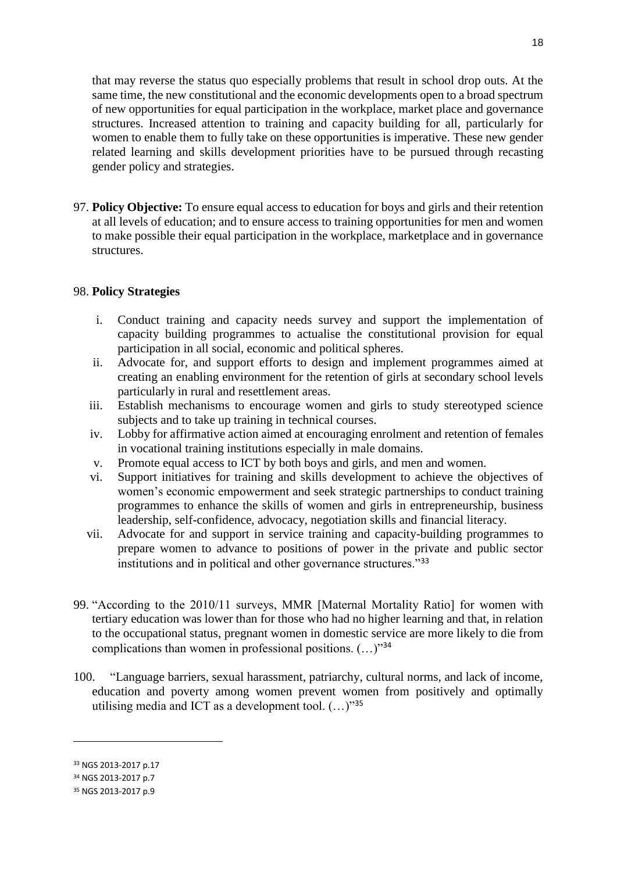that may reverse the status quo especially problems that result in school drop outs. At the same time, the new constitutional and the economic developments open to a broad spectrum of new opportunities for equal participation in the workplace, market place and governance structures. Increased attention to training and capacity building for all, particularly for women to enable them to fully take on these opportunities is imperative. These new gender related learning and skills development priorities have to be pursued through recasting gender policy and strategies.

97. **Policy Objective:** To ensure equal access to education for boys and girls and their retention at all levels of education; and to ensure access to training opportunities for men and women to make possible their equal participation in the workplace, marketplace and in governance structures.

#### 98. **Policy Strategies**

- i. Conduct training and capacity needs survey and support the implementation of capacity building programmes to actualise the constitutional provision for equal participation in all social, economic and political spheres.
- ii. Advocate for, and support efforts to design and implement programmes aimed at creating an enabling environment for the retention of girls at secondary school levels particularly in rural and resettlement areas.
- iii. Establish mechanisms to encourage women and girls to study stereotyped science subjects and to take up training in technical courses.
- iv. Lobby for affirmative action aimed at encouraging enrolment and retention of females in vocational training institutions especially in male domains.
- v. Promote equal access to ICT by both boys and girls, and men and women.
- vi. Support initiatives for training and skills development to achieve the objectives of women's economic empowerment and seek strategic partnerships to conduct training programmes to enhance the skills of women and girls in entrepreneurship, business leadership, self-confidence, advocacy, negotiation skills and financial literacy.
- vii. Advocate for and support in service training and capacity-building programmes to prepare women to advance to positions of power in the private and public sector institutions and in political and other governance structures."<sup>33</sup>
- 99. "According to the 2010/11 surveys, MMR [Maternal Mortality Ratio] for women with tertiary education was lower than for those who had no higher learning and that, in relation to the occupational status, pregnant women in domestic service are more likely to die from complications than women in professional positions.  $(\ldots)^{34}$
- 100. "Language barriers, sexual harassment, patriarchy, cultural norms, and lack of income, education and poverty among women prevent women from positively and optimally utilising media and ICT as a development tool.  $(...)$ <sup>35</sup>

 $\overline{\phantom{a}}$ 

<sup>33</sup> NGS 2013-2017 p.17

<sup>34</sup> NGS 2013-2017 p.7

<sup>35</sup> NGS 2013-2017 p.9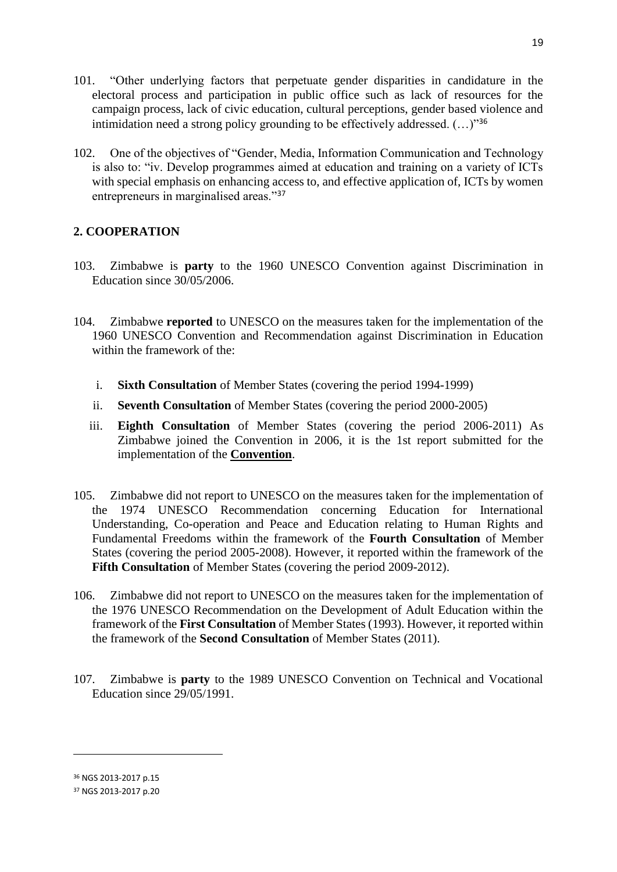101. "Other underlying factors that perpetuate gender disparities in candidature in the electoral process and participation in public office such as lack of resources for the campaign process, lack of civic education, cultural perceptions, gender based violence and intimidation need a strong policy grounding to be effectively addressed.  $(\dots)^{36}$ 

19

102. One of the objectives of "Gender, Media, Information Communication and Technology is also to: "iv. Develop programmes aimed at education and training on a variety of ICTs with special emphasis on enhancing access to, and effective application of, ICTs by women entrepreneurs in marginalised areas."<sup>37</sup>

### **2. COOPERATION**

- 103. Zimbabwe is **party** to the 1960 UNESCO Convention against Discrimination in Education since 30/05/2006.
- 104. Zimbabwe **reported** to UNESCO on the measures taken for the implementation of the 1960 UNESCO Convention and Recommendation against Discrimination in Education within the framework of the:
	- i. **Sixth Consultation** of Member States (covering the period 1994-1999)
	- ii. **Seventh Consultation** of Member States (covering the period 2000-2005)
	- iii. **Eighth Consultation** of Member States (covering the period 2006-2011) As Zimbabwe joined the Convention in 2006, it is the 1st report submitted for the implementation of the **Convention**.
- 105. Zimbabwe did not report to UNESCO on the measures taken for the implementation of the 1974 UNESCO Recommendation concerning Education for International Understanding, Co-operation and Peace and Education relating to Human Rights and Fundamental Freedoms within the framework of the **Fourth Consultation** of Member States (covering the period 2005-2008). However, it reported within the framework of the **Fifth Consultation** of Member States (covering the period 2009-2012).
- 106. Zimbabwe did not report to UNESCO on the measures taken for the implementation of the 1976 UNESCO Recommendation on the Development of Adult Education within the framework of the **First Consultation** of Member States (1993). However, it reported within the framework of the **Second Consultation** of Member States (2011).
- 107. Zimbabwe is **party** to the 1989 UNESCO Convention on Technical and Vocational Education since 29/05/1991.

<sup>36</sup> NGS 2013-2017 p.15

<sup>37</sup> NGS 2013-2017 p.20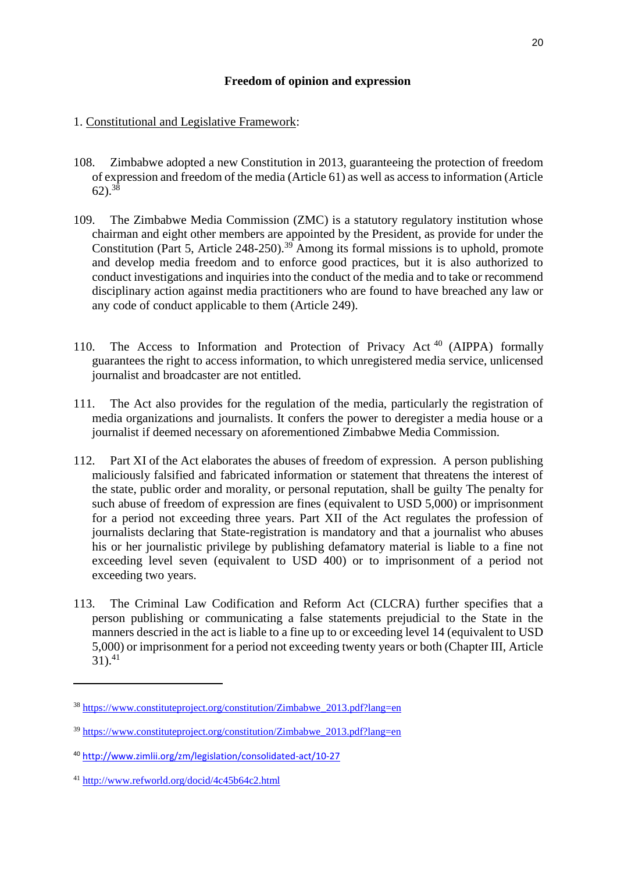### **Freedom of opinion and expression**

### 1. Constitutional and Legislative Framework:

- 108. Zimbabwe adopted a new Constitution in 2013, guaranteeing the protection of freedom of expression and freedom of the media (Article 61) as well as access to information (Article  $62$ ).<sup>38</sup>
- 109. The Zimbabwe Media Commission (ZMC) is a statutory regulatory institution whose chairman and eight other members are appointed by the President, as provide for under the Constitution (Part 5, Article 248-250).<sup>39</sup> Among its formal missions is to uphold, promote and develop media freedom and to enforce good practices, but it is also authorized to conduct investigations and inquiries into the conduct of the media and to take or recommend disciplinary action against media practitioners who are found to have breached any law or any code of conduct applicable to them (Article 249).
- 110. The Access to Information and Protection of Privacy Act<sup>40</sup> (AIPPA) formally guarantees the right to access information, to which unregistered media service, unlicensed journalist and broadcaster are not entitled.
- 111. The Act also provides for the regulation of the media, particularly the registration of media organizations and journalists. It confers the power to deregister a media house or a journalist if deemed necessary on aforementioned Zimbabwe Media Commission.
- 112. Part XI of the Act elaborates the abuses of freedom of expression. A person publishing maliciously falsified and fabricated information or statement that threatens the interest of the state, public order and morality, or personal reputation, shall be guilty The penalty for such abuse of freedom of expression are fines (equivalent to USD 5,000) or imprisonment for a period not exceeding three years. Part XII of the Act regulates the profession of journalists declaring that State-registration is mandatory and that a journalist who abuses his or her journalistic privilege by publishing defamatory material is liable to a fine not exceeding level seven (equivalent to USD 400) or to imprisonment of a period not exceeding two years.
- 113. The Criminal Law Codification and Reform Act (CLCRA) further specifies that a person publishing or communicating a false statements prejudicial to the State in the manners descried in the act is liable to a fine up to or exceeding level 14 (equivalent to USD 5,000) or imprisonment for a period not exceeding twenty years or both (Chapter III, Article  $31).41$

<sup>38</sup> [https://www.constituteproject.org/constitution/Zimbabwe\\_2013.pdf?lang=en](https://www.constituteproject.org/constitution/Zimbabwe_2013.pdf?lang=en)

<sup>39</sup> [https://www.constituteproject.org/constitution/Zimbabwe\\_2013.pdf?lang=en](https://www.constituteproject.org/constitution/Zimbabwe_2013.pdf?lang=en)

<sup>40</sup> <http://www.zimlii.org/zm/legislation/consolidated-act/10-27>

<sup>41</sup> <http://www.refworld.org/docid/4c45b64c2.html>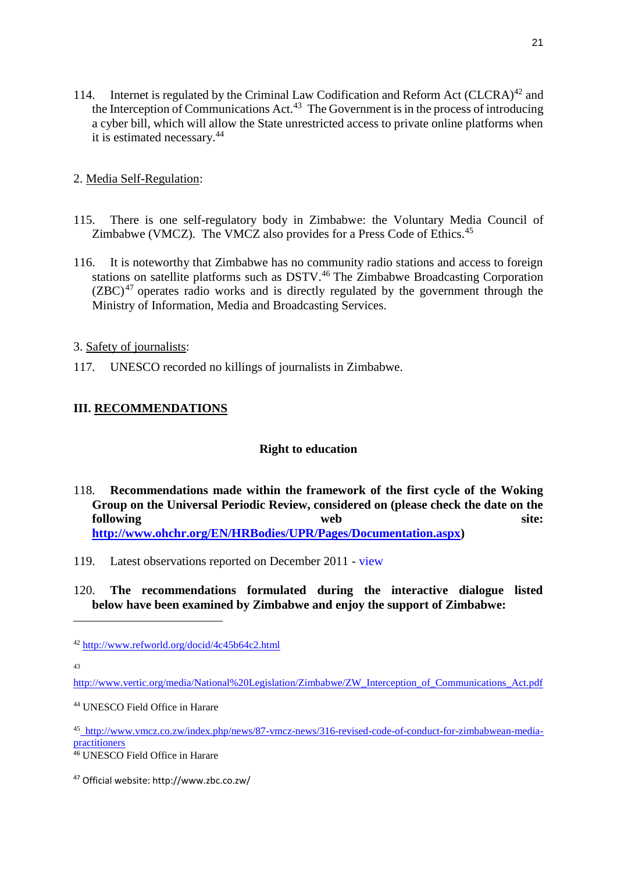- 114. Internet is regulated by the Criminal Law Codification and Reform Act (CLCRA)<sup>42</sup> and the Interception of Communications  $Act^{43}$  The Government is in the process of introducing a cyber bill, which will allow the State unrestricted access to private online platforms when it is estimated necessary.<sup>44</sup>
- 2. Media Self-Regulation:
- 115. There is one self-regulatory body in Zimbabwe: the Voluntary Media Council of Zimbabwe (VMCZ). The VMCZ also provides for a Press Code of Ethics.<sup>45</sup>
- 116. It is noteworthy that Zimbabwe has no community radio stations and access to foreign stations on satellite platforms such as DSTV.<sup>46</sup> The Zimbabwe Broadcasting Corporation  $(ZBC)^{47}$  operates radio works and is directly regulated by the government through the Ministry of Information, Media and Broadcasting Services.
- 3. Safety of journalists:
- 117. UNESCO recorded no killings of journalists in Zimbabwe.

# **III. RECOMMENDATIONS**

# **Right to education**

- 118. **Recommendations made within the framework of the first cycle of the Woking Group on the Universal Periodic Review, considered on (please check the date on the following** web site: **[http://www.ohchr.org/EN/HRBodies/UPR/Pages/Documentation.aspx\)](http://www.ohchr.org/EN/HRBodies/UPR/Pages/Documentation.aspx)**
- 119. Latest observations reported on December 2011 [view](http://www.upr-info.org/en/review/Zimbabwe/Session-12---October-2011/Review-in-the-Plenary-session#top)

### 120. **The recommendations formulated during the interactive dialogue listed below have been examined by Zimbabwe and enjoy the support of Zimbabwe:**

43

<sup>42</sup> <http://www.refworld.org/docid/4c45b64c2.html>

[http://www.vertic.org/media/National%20Legislation/Zimbabwe/ZW\\_Interception\\_of\\_Communications\\_Act.pdf](http://www.vertic.org/media/National%20Legislation/Zimbabwe/ZW_Interception_of_Communications_Act.pdf)

<sup>44</sup> UNESCO Field Office in Harare

<sup>45</sup> [http://www.vmcz.co.zw/index.php/news/87-vmcz-news/316-revised-code-of-conduct-for-zimbabwean-media](http://www.vmcz.co.zw/index.php/news/87-vmcz-news/316-revised-code-of-conduct-for-zimbabwean-media-practitioners)[practitioners](http://www.vmcz.co.zw/index.php/news/87-vmcz-news/316-revised-code-of-conduct-for-zimbabwean-media-practitioners)

<sup>46</sup> UNESCO Field Office in Harare

<sup>47</sup> Official website: http://www.zbc.co.zw/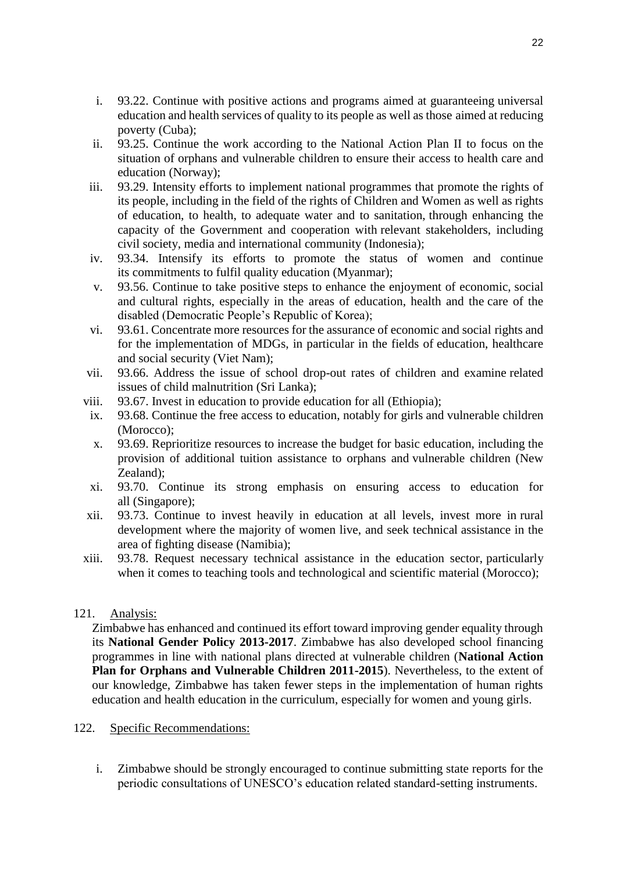- i. 93.22. Continue with positive actions and programs aimed at guaranteeing universal education and health services of quality to its people as well as those aimed at reducing poverty (Cuba);
- ii. 93.25. Continue the work according to the National Action Plan II to focus on the situation of orphans and vulnerable children to ensure their access to health care and education (Norway);
- iii. 93.29. Intensity efforts to implement national programmes that promote the rights of its people, including in the field of the rights of Children and Women as well as rights of education, to health, to adequate water and to sanitation, through enhancing the capacity of the Government and cooperation with relevant stakeholders, including civil society, media and international community (Indonesia);
- iv. 93.34. Intensify its efforts to promote the status of women and continue its commitments to fulfil quality education (Myanmar);
- v. 93.56. Continue to take positive steps to enhance the enjoyment of economic, social and cultural rights, especially in the areas of education, health and the care of the disabled (Democratic People's Republic of Korea);
- vi. 93.61. Concentrate more resources for the assurance of economic and social rights and for the implementation of MDGs, in particular in the fields of education, healthcare and social security (Viet Nam);
- vii. 93.66. Address the issue of school drop-out rates of children and examine related issues of child malnutrition (Sri Lanka);
- viii. 93.67. Invest in education to provide education for all (Ethiopia);
- ix. 93.68. Continue the free access to education, notably for girls and vulnerable children (Morocco);
- x. 93.69. Reprioritize resources to increase the budget for basic education, including the provision of additional tuition assistance to orphans and vulnerable children (New Zealand);
- xi. 93.70. Continue its strong emphasis on ensuring access to education for all (Singapore);
- xii. 93.73. Continue to invest heavily in education at all levels, invest more in rural development where the majority of women live, and seek technical assistance in the area of fighting disease (Namibia);
- xiii. 93.78. Request necessary technical assistance in the education sector, particularly when it comes to teaching tools and technological and scientific material (Morocco);

### 121. Analysis:

Zimbabwe has enhanced and continued its effort toward improving gender equality through its **National Gender Policy 2013-2017**. Zimbabwe has also developed school financing programmes in line with national plans directed at vulnerable children (**National Action Plan for Orphans and Vulnerable Children 2011-2015**). Nevertheless, to the extent of our knowledge, Zimbabwe has taken fewer steps in the implementation of human rights education and health education in the curriculum, especially for women and young girls.

#### 122. Specific Recommendations:

i. Zimbabwe should be strongly encouraged to continue submitting state reports for the periodic consultations of UNESCO's education related standard-setting instruments.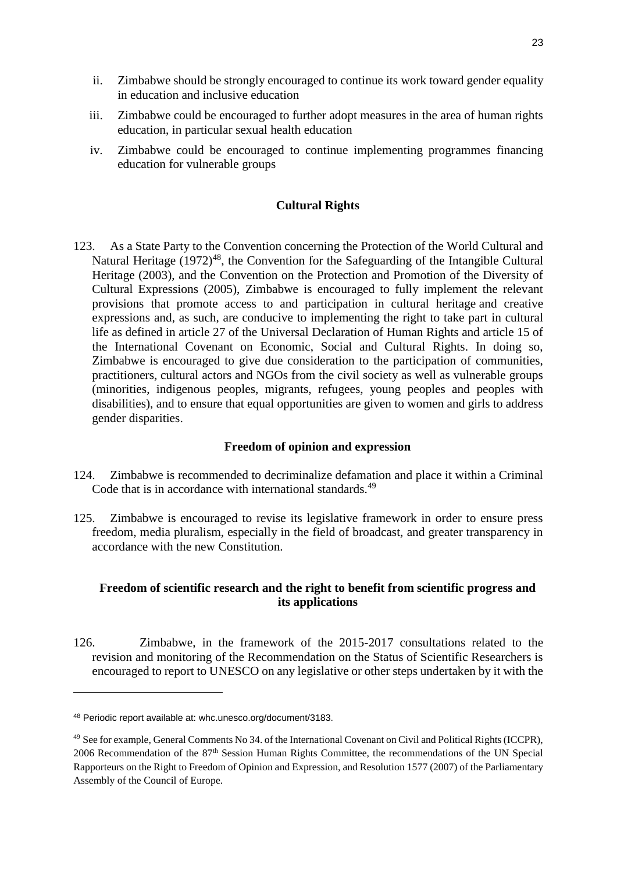- ii. Zimbabwe should be strongly encouraged to continue its work toward gender equality in education and inclusive education
- iii. Zimbabwe could be encouraged to further adopt measures in the area of human rights education, in particular sexual health education
- iv. Zimbabwe could be encouraged to continue implementing programmes financing education for vulnerable groups

### **Cultural Rights**

123. As a State Party to the Convention concerning the Protection of the World Cultural and Natural Heritage  $(1972)^{48}$ , the Convention for the Safeguarding of the Intangible Cultural Heritage (2003), and the Convention on the Protection and Promotion of the Diversity of Cultural Expressions (2005), Zimbabwe is encouraged to fully implement the relevant provisions that promote access to and participation in cultural heritage and creative expressions and, as such, are conducive to implementing the right to take part in cultural life as defined in article 27 of the Universal Declaration of Human Rights and article 15 of the International Covenant on Economic, Social and Cultural Rights. In doing so, Zimbabwe is encouraged to give due consideration to the participation of communities, practitioners, cultural actors and NGOs from the civil society as well as vulnerable groups (minorities, indigenous peoples, migrants, refugees, young peoples and peoples with disabilities), and to ensure that equal opportunities are given to women and girls to address gender disparities.

#### **Freedom of opinion and expression**

- 124. Zimbabwe is recommended to decriminalize defamation and place it within a Criminal Code that is in accordance with international standards.<sup>49</sup>
- 125. Zimbabwe is encouraged to revise its legislative framework in order to ensure press freedom, media pluralism, especially in the field of broadcast, and greater transparency in accordance with the new Constitution.

### **Freedom of scientific research and the right to benefit from scientific progress and its applications**

126. Zimbabwe, in the framework of the 2015-2017 consultations related to the revision and monitoring of the Recommendation on the Status of Scientific Researchers is encouraged to report to UNESCO on any legislative or other steps undertaken by it with the

<sup>48</sup> Periodic report available at: whc.unesco.org/document/3183.

<sup>&</sup>lt;sup>49</sup> See for example, General Comments No 34. of the International Covenant on Civil and Political Rights (ICCPR), 2006 Recommendation of the 87th Session Human Rights Committee, the recommendations of the UN Special Rapporteurs on the Right to Freedom of Opinion and Expression, and Resolution 1577 (2007) of the Parliamentary Assembly of the Council of Europe.